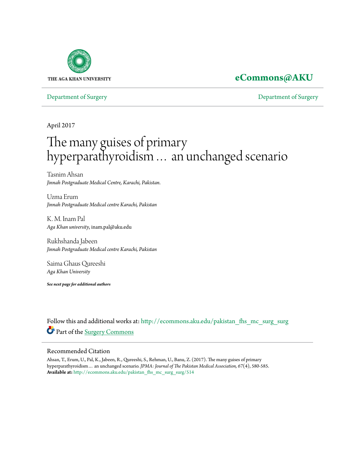

# **[eCommons@AKU](http://ecommons.aku.edu?utm_source=ecommons.aku.edu%2Fpakistan_fhs_mc_surg_surg%2F514&utm_medium=PDF&utm_campaign=PDFCoverPages)**

[Department of Surgery](http://ecommons.aku.edu/pakistan_fhs_mc_surg_surg?utm_source=ecommons.aku.edu%2Fpakistan_fhs_mc_surg_surg%2F514&utm_medium=PDF&utm_campaign=PDFCoverPages) [Department of Surgery](http://ecommons.aku.edu/pakistan_fhs_mc_surg?utm_source=ecommons.aku.edu%2Fpakistan_fhs_mc_surg_surg%2F514&utm_medium=PDF&utm_campaign=PDFCoverPages)

April 2017

# The many guises of primary hyperparathyroidism… an unchanged scenario

Tasnim Ahsan *Jinnah Postgraduate Medical Centre, Karachi, Pakistan.*

Uzma Erum *Jinnah Postgraduate Medical centre Karachi, Pakistan*

K. M. Inam Pal *Aga Khan university*, inam.pal@aku.edu

Rukhshanda Jabeen *Jinnah Postgraduate Medical centre Karachi, Pakistan*

Saima Ghaus Qureeshi *Aga Khan University*

*See next page for additional authors*

Follow this and additional works at: [http://ecommons.aku.edu/pakistan\\_fhs\\_mc\\_surg\\_surg](http://ecommons.aku.edu/pakistan_fhs_mc_surg_surg?utm_source=ecommons.aku.edu%2Fpakistan_fhs_mc_surg_surg%2F514&utm_medium=PDF&utm_campaign=PDFCoverPages) Part of the [Surgery Commons](http://network.bepress.com/hgg/discipline/706?utm_source=ecommons.aku.edu%2Fpakistan_fhs_mc_surg_surg%2F514&utm_medium=PDF&utm_campaign=PDFCoverPages)

### Recommended Citation

Ahsan, T., Erum, U., Pal, K., Jabeen, R., Qureeshi, S., Rehman, U., Banu, Z. (2017). The many guises of primary hyperparathyroidism… an unchanged scenario. *JPMA: Journal of The Pakistan Medical Association, 67*(4), 580-585. **Available at:** [http://ecommons.aku.edu/pakistan\\_fhs\\_mc\\_surg\\_surg/514](http://ecommons.aku.edu/pakistan_fhs_mc_surg_surg/514)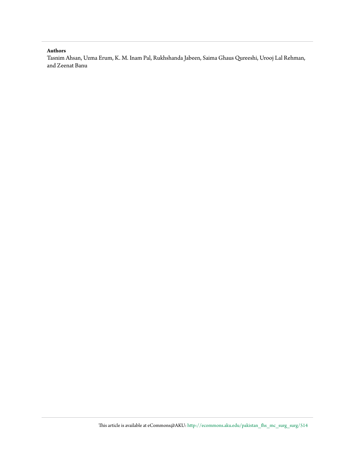#### **Authors**

Tasnim Ahsan, Uzma Erum, K. M. Inam Pal, Rukhshanda Jabeen, Saima Ghaus Qureeshi, Urooj Lal Rehman, and Zeenat Banu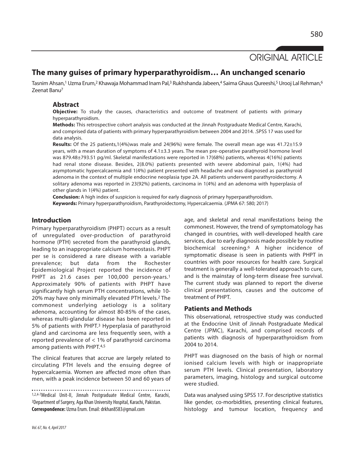# ORIGINAL ARTICLE

# **The many guises of primary hyperparathyroidism… An unchanged scenario**

Tasnim Ahsan,1 Uzma Erum,2 Khawaja Mohammad Inam Pal,3 Rukhshanda Jabeen,4 Saima Ghaus Qureeshi,5 Urooj Lal Rehman,6 Zeenat Banu7

# **Abstract**

**Objective:** To study the causes, characteristics and outcome of treatment of patients with primary hyperparathyroidism.

**Methods:** This retrospective cohort analysis was conducted at the Jinnah Postgraduate Medical Centre, Karachi, and comprised data of patients with primary hyperparathyroidism between 2004 and 2014. .SPSS 17 was used for data analysis.

**Results:** Of the 25 patients,1(4%)was male and 24(96%) were female. The overall mean age was 41.72±15.9 years, with a mean duration of symptoms of 4.1±3.3 years. The mean pre-operative parathyroid hormone level was 879.48±793.51 pg/ml. Skeletal manifestations were reported in 17(68%) patients, whereas 4(16%) patients had renal stone disease. Besides, 2(8.0%) patients presented with severe abdominal pain, 1(4%) had asymptomatic hypercalcaemia and 1(4%) patient presented with headache and was diagnosed as parathyroid adenoma in the context of multiple endocrine neoplasia type 2A. All patients underwent parathyroidectomy. A solitary adenoma was reported in 23(92%) patients, carcinoma in 1(4%) and an adenoma with hyperplasia of other glands in 1(4%) patient.

**Conclusion:** A high index of suspicion is required for early diagnosis of primary hyperparathyroidism. **Keywords:** Primary hyperparathyroidism, Parathyroidectomy, Hypercalcaemia. (JPMA 67: 580; 2017)

## **Introduction**

Primary hyperparathyroidism (PHPT) occurs as a result of unregulated over-production of parathyroid hormone (PTH) secreted from the parathyroid glands, leading to an inappropriate calcium homeostasis. PHPT per se is considered a rare disease with a variable prevalence; but data from the Rochester Epidemiological Project reported the incidence of PHPT as 21.6 cases per 100,000 person-years.<sup>1</sup> Approximately 90% of patients with PHPT have significantly high serum PTH concentrations, while 10- 20% may have only minimally elevated PTH levels. <sup>2</sup> The commonest underlying aetiology is a solitary adenoma, accounting for almost 80-85% of the cases, whereas multi-glandular disease has been reported in 5% of patients with PHPT. <sup>3</sup> Hyperplasia of parathyroid gland and carcinoma are less frequently seen, with a reported prevalence of < 1% of parathyroid carcinoma among patients with PHPT.<sup>4,5</sup>

The clinical features that accrue are largely related to circulating PTH levels and the ensuing degree of hypercalcaemia. Women are affected more often than men, with a peak incidence between 50 and 60 years of

1,2,4-7Medical Unit-II, Jinnah Postgraduate Medical Centre, Karachi, <sup>3</sup>Department of Surgery, Aga Khan University Hospital, Karachi, Pakistan. **Correspondence:** UzmaErum.Email:drkhan8583@gmail.com

age, and skeletal and renal manifestations being the commonest. However, the trend of symptomatology has changed in countries, with well-developed health care services, due to early diagnosis made possible by routine biochemical screening.6 A higher incidence of symptomatic disease is seen in patients with PHPT in countries with poor resources for health care. Surgical treatment is generally a well-tolerated approach to cure, and is the mainstay of long-term disease free survival. The current study was planned to report the diverse clinical presentations, causes and the outcome of treatment of PHPT.

## **Patients and Methods**

This observational, retrospective study was conducted at the Endocrine Unit of Jinnah Postgraduate Medical Centre (JPMC), Karachi, and comprised records of patients with diagnosis of hyperparathyroidism from 2004 to 2014.

PHPT was diagnosed on the basis of high or normal ionised calcium levels with high or inappropriate serum PTH levels. Clinical presentation, laboratory parameters, imaging, histology and surgical outcome were studied.

Data was analysed using SPSS 17. For descriptive statistics like gender, co-morbidities, presenting clinical features, histology and tumour location, frequency and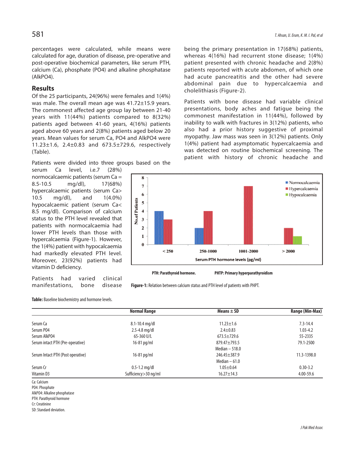percentages were calculated, while means were calculated for age, duration of disease, pre-operative and post-operative biochemical parameters, like serum PTH, calcium (Ca), phosphate (PO4) and alkaline phosphatase (AlkPO4).

### **Results**

Of the 25 participants, 24(96%) were females and 1(4%) was male. The overall mean age was 41.72±15.9 years. The commonest affected age group lay between 21-40 years with 11(44%) patients compared to 8(32%) patients aged between 41-60 years, 4(16%) patients aged above 60 years and 2(8%) patients aged below 20 years. Mean values for serum Ca, PO4 and AlkPO4 were 11.23±1.6, 2.4±0.83 and 673.5±729.6, respectively (Table).

Patients were divided into three groups based on the

serum Ca level, i.e.7 (28%) normocalcaemic patients (serum  $Ca =$ 8.5-10.5 mg/dl), 17(68%) hypercalcaemic patients (serum Ca> 10.5 mg/dl), and 1(4.0%) hypocalcaemic patient (serum Ca< 8.5 mg/dl). Comparison of calcium status to the PTH level revealed that patients with normocalcaemia had lower PTH levels than those with hypercalcaemia (Figure-1). However, the 1(4%) patient with hypocalcaemia had markedly elevated PTH level. Moreover, 23(92%) patients had vitamin D deficiency.

Patients had varied clinical manifestations, bone disease being the primary presentation in 17(68%) patients, whereas 4(16%) had recurrent stone disease; 1(4%) patient presented with chronic headache and 2(8%) patients reported with acute abdomen, of which one had acute pancreatitis and the other had severe abdominal pain due to hypercalcaemia and cholelithiasis (Figure-2).

Patients with bone disease had variable clinical presentations, body aches and fatigue being the commonest manifestation in 11(44%), followed by inability to walk with fractures in 3(12%) patients, who also had a prior history suggestive of proximal myopathy. Jaw mass was seen in 3(12%) patients. Only 1(4%) patient had asymptomatic hypercalcaemia and was detected on routine biochemical screening. The patient with history of chronic headache and



**PTH: Parathyroid hormone. PHTP: Primary hyperparathyroidism**

Figure-1: Relation between calcium status and PTH level of patients with PHPT.

Table: Baseline biochemistry and hormone levels.

|                                   | <b>Normal Range</b>    | Means $\pm$ SD     | Range (Min-Max) |
|-----------------------------------|------------------------|--------------------|-----------------|
|                                   |                        |                    |                 |
| Serum Ca                          | 8.1-10.4 mg/dl         | $11.23 \pm 1.6$    | $7.3 - 14.4$    |
| Serum P04                         | $2.5 - 4.8$ mg/dl      | $2.4 \pm 0.83$     | $1.03 - 4.2$    |
| Serum AlkP04                      | 65-360 U/L             | $673.5 + 729.6$    | 55-2335         |
| Serum intact PTH (Pre-operative)  | $16-81$ pg/ml          | $879.47 \pm 793.5$ | 79.1-2500       |
|                                   |                        | Median $-518.0$    |                 |
| Serum Intact PTH (Post operative) | $16-81$ pg/ml          | $246.45 \pm 387.9$ | 11.3-1398.0     |
|                                   |                        | Median $-61.0$     |                 |
| Serum Cr                          | $0.5 - 1.2$ mg/dl      | $1.05 \pm 0.64$    | $0.30 - 3.2$    |
| Vitamin D3                        | Sufficiency > 30 ng/ml | $16.27 \pm 14.3$   | 4.00-59.6       |
| Ca: Calcium                       |                        |                    |                 |

PO4: Phosphate

AlkPO4: Alkaline phosphatase

PTH: Parathyroid hormone

Cr:Creatinine

SD: Standard deviation.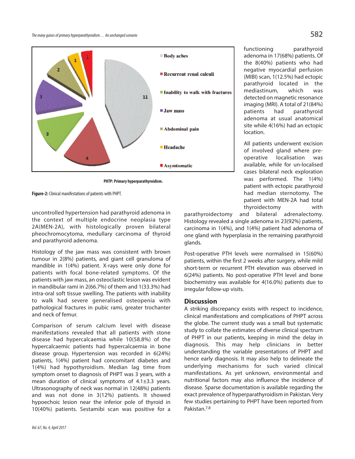

**PHTP: Primary hyperparathyroidism.**

Figure-2: Clinical manifestations of patients with PHPT.

uncontrolled hypertension had parathyroid adenoma in the context of multiple endocrine neoplasia type 2A(MEN-2A), with histologically proven bilateral pheochromocytoma, medullary carcinoma of thyroid and parathyroid adenoma.

Histology of the jaw mass was consistent with brown tumour in 2(8%) patients, and giant cell granuloma of mandible in 1(4%) patient. X-rays were only done for patients with focal bone-related symptoms. Of the patients with jaw mass, an osteoclastic lesion was evident in mandibular rami in 2(66.7%) of them and 1(33.3%) had intra-oral soft tissue swelling. The patients with inability to walk had severe generalised osteopenia with pathological fractures in pubic rami, greater trochanter and neck of femur.

Comparison of serum calcium level with disease manifestations revealed that all patients with stone disease had hypercalcaemia while 10(58.8%) of the hypercalcaemic patients had hypercalcaemia in bone disease group. Hypertension was recorded in 6(24%) patients, 1(4%) patient had concomitant diabetes and 1(4%) had hypothyroidism. Median lag time from symptom onset to diagnosis of PHPT was 3 years, with a mean duration of clinical symptoms of 4.1±3.3 years. Ultrasonography of neck was normal in 12(48%) patients and was not done in 3(12%) patients. It showed hypoechoic lesion near the inferior pole of thyroid in 10(40%) patients. Sestamibi scan was positive for a functioning parathyroid adenoma in 17(68%) patients. Of the 8(40%) patients who had negative myocardial perfusion (MIBI) scan, 1(12.5%) had ectopic parathyroid located in the mediastinum, which was detected on magnetic resonance imaging (MRI). A total of 21(84%) patients had parathyroid adenoma at usual anatomical site while 4(16%) had an ectopic location.

All patients underwent excision of involved gland where preoperative localisation was available, while for un-localised cases bilateral neck exploration was performed. The 1(4%) patient with ectopic parathyroid had median sternotomy. The patient with MEN-2A had total thyroidectomy with

parathyroidectomy and bilateral adrenalectomy. Histology revealed a single adenoma in 23(92%) patients, carcinoma in 1(4%), and 1(4%) patient had adenoma of one gland with hyperplasia in the remaining parathyroid glands.

Post-operative PTH levels were normalised in 15(60%) patients, within the first 2 weeks after surgery, while mild short-term or recurrent PTH elevation was observed in 6(24%) patients. No post-operative PTH level and bone biochemistry was available for 4(16.0%) patients due to irregular follow-up visits.

### **Discussion**

A striking discrepancy exists with respect to incidence, clinical manifestations and complications of PHPT across the globe. The current study was a small but systematic study to collate the estimates of diverse clinical spectrum of PHPT in our patients, keeping in mind the delay in diagnosis. This may help clinicians in better understanding the variable presentations of PHPT and hence early diagnosis. It may also help to delineate the underlying mechanisms for such varied clinical manifestations. As yet unknown, environmental and nutritional factors may also influence the incidence of disease. Sparse documentation is available regarding the exact prevalence of hyperparathyroidism in Pakistan. Very few studies pertaining to PHPT have been reported from Pakistan. 7,8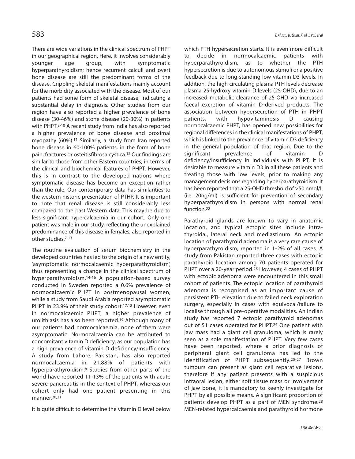There are wide variations in the clinical spectrum of PHPT in our geographical region. Here, it involves considerably younger age group, with symptomatic hyperparathyroidism; hence recurrent calculi and overt bone disease are still the predominant forms of the disease. Crippling skeletal manifestations mainly account for the morbidity associated with the disease. Most of our patients had some form of skeletal disease, indicating a substantial delay in diagnosis. Other studies from our region have also reported a higher prevalence of bone disease (30-46%) and stone disease (20-30%) in patients with PHPT. 8-10 A recent study from India has also reported a higher prevalence of bone disease and proximal myopathy (60%). <sup>11</sup> Similarly, a study from Iran reported bone disease in 60-100% patients, in the form of bone pain, fractures or osteitisfibrosa cystica. <sup>12</sup> Our findings are similar to those from other Eastern countries, in terms of the clinical and biochemical features of PHPT. However, this is in contrast to the developed nations where symptomatic disease has become an exception rather than the rule. Our contemporary data has similarities to the western historic presentation of PTHP. It is important to note that renal disease is still considerably less compared to the past Western data. This may be due to less significant hypercalcaemia in our cohort. Only one patient was male in our study, reflecting the unexplained predominance of this disease in females, also reported in other studies. 7-13

The routine evaluation of serum biochemistry in the developed countries has led to the origin of a new entity, 'asymptomatic normocalcaemic hyperparathyroidism', thus representing a change in the clinical spectrum of hyperparathyroidism. 14-16 A population-based survey conducted in Sweden reported a 0.6% prevalence of normocalcaemic PHPT in postmenopausal women, while a study from Saudi Arabia reported asymptomatic PHPT in 23.9% of their study cohort.<sup>17,18</sup> However, even in normocalcaemic PHPT, a higher prevalence of urolithiasis has also been reported. <sup>19</sup> Although many of our patients had normocalcaemia, none of them were asymptomatic. Normocalcaemia can be attributed to concomitant vitamin D deficiency, as our population has a high prevalence of vitamin D deficiency/insufficiency. A study from Lahore, Pakistan, has also reported normocalcaemia in 21.88% of patients with hyperparathyroidism. <sup>8</sup> Studies from other parts of the world have reported 11-13% of the patients with acute severe pancreatitis in the context of PHPT, whereas our cohort only had one patient presenting in this manner. 20,21

It is quite difficult to determine the vitamin D level below

which PTH hypersecretion starts. It is even more difficult to decide in normocalcaemic patients with hyperparathyroidism, as to whether the PTH hypersecretion is due to autonomous stimuli or a positive feedback due to long-standing low vitamin D3 levels. In addition, the high circulating plasma PTH levels decrease plasma 25-hydroxy vitamin D levels (25-OHD), due to an increased metabolic clearance of 25-OHD via increased faecal excretion of vitamin D-derived products. The association between hypersecretion of PTH in PHPT patients, with hypovitaminosis D causing normocalcaemic PHPT, has opened new possibilities for regional differences in the clinical manifestations of PHPT, which is linked to the prevalence of vitamin D3 deficiency in the general population of that region. Due to the significant prevalence of vitamin D deficiency/insufficiency in individuals with PHPT, it is desirable to measure vitamin D3 in all these patients and treating those with low levels, prior to making any management decisions regarding hyperparathyroidism. It has been reported that a 25-OHD threshold of  $\geq$ 50 nmol/L (i.e. 20ng/ml) is sufficient for prevention of secondary hyperparathyroidism in persons with normal renal function. 22

Parathyroid glands are known to vary in anatomic location, and typical ectopic sites include intrathyroidal, lateral neck and mediastinum. An ectopic location of parathyroid adenoma is a very rare cause of hyperparathyroidism, reported in 1-2% of all cases. A study from Pakistan reported three cases with ectopic parathyroid location among 70 patients operated for PHPT over a 20-year period.<sup>23</sup> However, 4 cases of PHPT with ectopic adenoma were encountered in this small cohort of patients. The ectopic location of parathyroid adenoma is recognised as an important cause of persistent PTH elevation due to failed neck exploration surgery, especially in cases with equivocal/failure to localise through all pre-operative modalities. An Indian study has reported 7 ectopic parathyroid adenomas out of 51 cases operated for PHPT. <sup>24</sup> One patient with jaw mass had a giant cell granuloma, which is rarely seen as a sole manifestation of PHPT. Very few cases have been reported, where a prior diagnosis of peripheral giant cell granuloma has led to the identification of PHPT subsequently.25-27 Brown tumours can present as giant cell reparative lesions, therefore if any patient presents with a suspicious intraoral lesion, either soft tissue mass or involvement of jaw bone, it is mandatory to keenly investigate for PHPT by all possible means. A significant proportion of patients develop PHPT as a part of MEN syndrome. 28 MEN-related hypercalcaemia and parathyroid hormone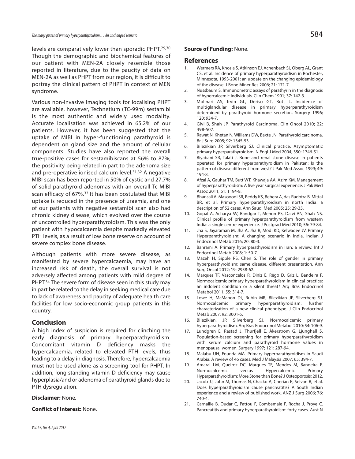levels are comparatively lower than sporadic PHPT. 29,30 Though the demographic and biochemical features of our patient with MEN-2A closely resemble those reported in literature, due to the paucity of data on MEN-2A as well as PHPT from our region, it is difficult to portray the clinical pattern of PHPT in context of MEN syndrome.

Various non-invasive imaging tools for localising PHPT are available, however, Technetium (TC-99m) sestamibi is the most authentic and widely used modality. Accurate localisation was achieved in 65.2% of our patients. However, it has been suggested that the uptake of MIBI in hyper-functioning parathyroid is dependent on gland size and the amount of cellular components. Studies have also reported the overall true-positive cases for sestamibiscans at 56% to 87%; the positivity being related in part to the adenoma size and pre-operative ionised calcium level. 31,32 A negative MIBI scan has been reported in 50% of cystic and 27.7% of solid parathyroid adenomas with an overall Tc MIBI scan efficacy of 67%. 33 It has been postulated that MIBI uptake is reduced in the presence of uraemia, and one of our patients with negative sestamibi scan also had chronic kidney disease, which evolved over the course of uncontrolled hyperparathyroidism. This was the only patient with hypocalcaemia despite markedly elevated PTH levels, as a result of low bone reserve on account of severe complex bone disease.

Although patients with more severe disease, as manifested by severe hypercalcaemia, may have an increased risk of death, the overall survival is not adversely affected among patients with mild degree of PHPT.<sup>34</sup> The severe form of disease seen in this study may in part be related to the delay in seeking medical care due to lack of awareness and paucity of adequate health care facilities for low socio-economic group patients in this country.

## **Conclusion**

A high index of suspicion is required for clinching the early diagnosis of primary hyperparathyroidism. Concomitant vitamin D deficiency masks the hypercalcaemia, related to elevated PTH levels, thus leading to a delay in diagnosis. Therefore, hypercalcaemia must not be used alone as a screening tool for PHPT. In addition, long-standing vitamin D deficiency may cause hyperplasia/and or adenoma of parathyroid glands due to PTH dysregulation.

#### **Disclaimer:** None.

#### **Conflict of Interest:** None.

#### **Source of Funding:** None.

#### **References**

- 1. Wermers RA, Khosla S, Atkinson EJ, Achenbach SJ, Oberg AL, Grant CS, et al. Incidence of primary hyperparathyroidism in Rochester, Minnesota, 1993-2001: an update on the changing epidemiology of the disease. J Bone Miner Res 2006; 21: 171-7.
- 2. Nussbaum S. Immunometric assays of parathyrin in the diagnosis of hypercalcemic individuals. Clin Chem 1991; 37: 142-3.
- 3. Molinari AS, Irvin GL, Deriso GT, Bott L. Incidence of multiglandular disease in primary hyperparathyroidism determined by parathyroid hormone secretion. Surgery 1996; 120: 934-7.
- 4. Givi B, Shah JP. Parathyroid Carcinoma. Clin Oncol 2010; 22: 498-507.
- 5. Rawat N, Khetan N, Williams DW, Baxte JN. Parathyroid carcinoma. Br J Surg 2005; 92: 1345-53.
- 6. Bilezikian JP, Silverberg SJ. Clinical practice. Asymptomatic primary hyperparathyroidism. N Engl J Med 2004; 350: 1746-51.
- 7. Biyabani SR, Talati J. Bone and renal stone disease in patients operated for primary hyperparathyroidism in Pakistan: Is the pattern of disease different from west? J Pak Med Assoc 1999; 49: 194-8.
- 8. Afzal A, Gauhar TM, Butt WT, Khawaja AA, Azim KM. Management of hyperparathyroidism: A five year surgical experience. J Pak Med Assoc 2011; 61: 1194-8.
- 9. Bhansali A, Masooodi SR, Reddy KS, Behera A, das Radotra B, Mittal BR, et al. Primary hyperparathyroidism in north India: a description of 52 cases. Ann Saudi Med 2005; 25: 29-35.
- 10. Gopal A, Acharya SV, Bandgar T, Menon PS, Dalvi AN, Shah NS. Clinical profile of primary hyperparathyroidism from western India: a single centre experience. J Postgrad Med 2010; 56: 79-84.
- 11. Jha S, Jayaraman M, Jha A, Jha R, Modi KD, Kelwadee JV. Primary Hyperparathyroidism: A changing scenario in India. Indian J Endocrinol Metab 2016; 20: 80-3.
- 12. Bahrami A. Primary hyperparathyroidism in Iran: a review. Int J Endocrinol Metab 2008; 1: 50-7.
- 13. Mazeh H, Sipple RS, Chen S. The role of gender in primary hyperparathyroidism: same disease, different presentation. Ann Surg Oncol 2012; 19: 2958-62.
- 14. Marques TF, Vasconcelos R, Diniz E, Rêgo D, Griz L, Bandeira F. Normocalcemic primary hyperparathyroidism in clinical practice: an indolent condition or a silent threat? Arq Bras Endocrinol Metabol 2011; 55: 314-7.
- 15. Lowe H, McMahon DJ, Rubin MR, Bilezikian JP, Silverberg SJ. Normocalcemic primary hyperparathyroidism: further characterization of a new clinical phenotype. J Clin Endocrinol Metab 2007; 92: 3001-5.
- 16. Bilezikian, JP, Silverberg SJ. Normocalcemic primary hyperparathyroidism. Arq Bras Endocrinol Metabol 2010; 54: 106-9.
- 17. Lundgren E, Rastad J, Thurfjell E, Åkerström G, Ljunghall S. Population-based screening for primary hyperparathyroidism with serum calcium and parathyroid hormone values in menopausal women. Surgery 1997; 121: 287-94.
- 18. Malabu UH, Founda MA. Primary hyperparathyroidism in Saudi Arabia: A review of 46 cases. Med J Malaysia 2007; 65: 394-7.
- 19. Amaral LM, Queiroz DC, Marques TF, Mendes M, Bandeira F. Normocalcemic versus Hypercalcemic Hyperparathyroidism: More Stone than Bone? J Osteoporosis; 2012.
- 20. Jacob JJ, John M, Thomas N, Chacko A, Cherian R, Selvan B, et al. Does hyperparathyroidism cause pancreatitis? A South Indian experience and a review of published work. ANZ J Surg 2006; 76: 740-4.
- 21. Carnaille B, Oudar C, Pattou F, Combemale F, Rocha J, Proye C. Pancreatitis and primary hyperparathyroidism: forty cases. Aust N